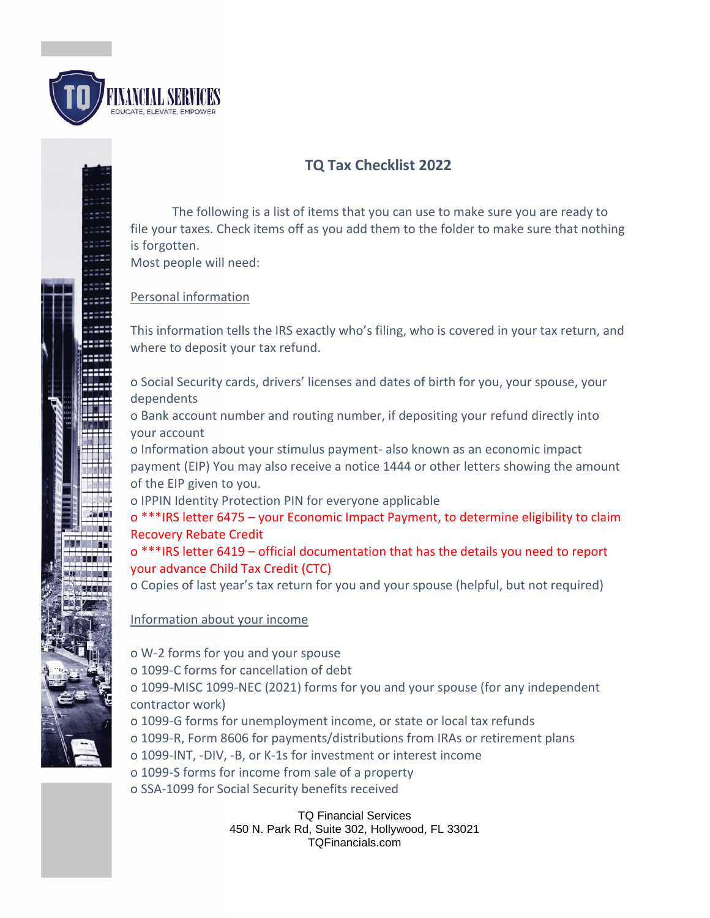

# **TQ Tax Checklist 2022**

The following is a list of items that you can use to make sure you are ready to file your taxes. Check items off as you add them to the folder to make sure that nothing is forgotten. Most people will need:

#### Personal information

This information tells the IRS exactly who's filing, who is covered in your tax return, and where to deposit your tax refund.

o Social Security cards, drivers' licenses and dates of birth for you, your spouse, your dependents

o Bank account number and routing number, if depositing your refund directly into your account

o Information about your stimulus payment- also known as an economic impact payment (EIP) You may also receive a notice 1444 or other letters showing the amount of the EIP given to you.

o IPPIN Identity Protection PIN for everyone applicable

o \*\*\*IRS letter 6475 – your Economic Impact Payment, to determine eligibility to claim Recovery Rebate Credit

#### o \*\*\*IRS letter 6419 – official documentation that has the details you need to report your advance Child Tax Credit (CTC)

o Copies of last year's tax return for you and your spouse (helpful, but not required)

#### Information about your income

o W-2 forms for you and your spouse o 1099-C forms for cancellation of debt o 1099-MISC 1099-NEC (2021) forms for you and your spouse (for any independent contractor work) o 1099-G forms for unemployment income, or state or local tax refunds

- o 1099-R, Form 8606 for payments/distributions from IRAs or retirement plans
- o 1099-INT, -DIV, -B, or K-1s for investment or interest income
- o 1099-S forms for income from sale of a property
- o SSA-1099 for Social Security benefits received

TQ Financial Services 450 N. Park Rd, Suite 302, Hollywood, FL 33021 TQFinancials.com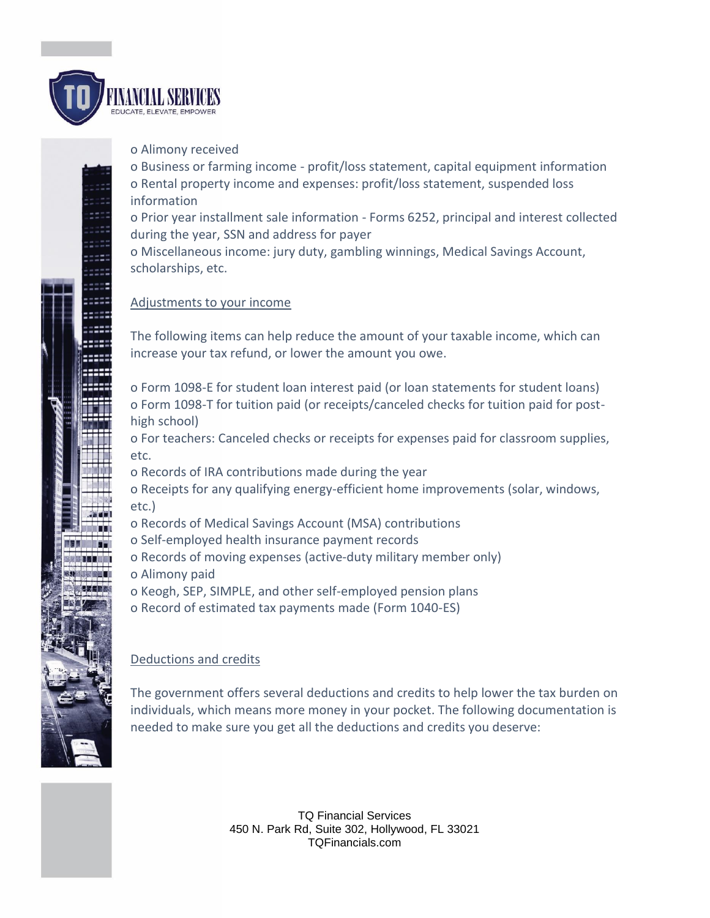

o Alimony received

o Business or farming income - profit/loss statement, capital equipment information o Rental property income and expenses: profit/loss statement, suspended loss information

o Prior year installment sale information - Forms 6252, principal and interest collected during the year, SSN and address for payer

o Miscellaneous income: jury duty, gambling winnings, Medical Savings Account, scholarships, etc.

#### Adjustments to your income

The following items can help reduce the amount of your taxable income, which can increase your tax refund, or lower the amount you owe.

o Form 1098-E for student loan interest paid (or loan statements for student loans) o Form 1098-T for tuition paid (or receipts/canceled checks for tuition paid for posthigh school)

o For teachers: Canceled checks or receipts for expenses paid for classroom supplies, etc.

o Records of IRA contributions made during the year

o Receipts for any qualifying energy-efficient home improvements (solar, windows, etc.)

- o Records of Medical Savings Account (MSA) contributions
- o Self-employed health insurance payment records
- o Records of moving expenses (active-duty military member only)
- o Alimony paid
- o Keogh, SEP, SIMPLE, and other self-employed pension plans
- o Record of estimated tax payments made (Form 1040-ES)

## Deductions and credits

The government offers several deductions and credits to help lower the tax burden on individuals, which means more money in your pocket. The following documentation is needed to make sure you get all the deductions and credits you deserve:

> TQ Financial Services 450 N. Park Rd, Suite 302, Hollywood, FL 33021 TQFinancials.com